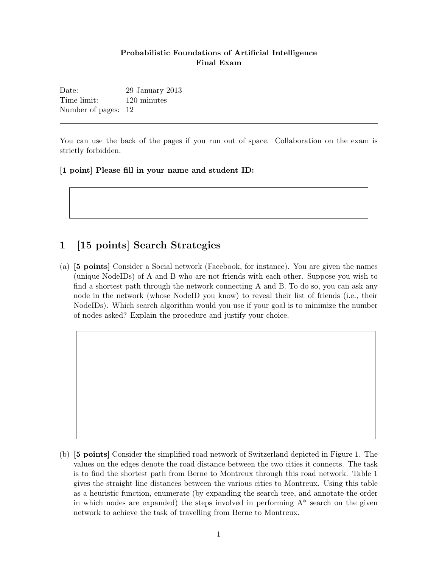#### Probabilistic Foundations of Artificial Intelligence Final Exam

Date: 29 January 2013 Time limit: 120 minutes Number of pages: 12

You can use the back of the pages if you run out of space. Collaboration on the exam is strictly forbidden.

[1 point] Please fill in your name and student ID:

## 1 [15 points] Search Strategies

(a) [5 points] Consider a Social network (Facebook, for instance). You are given the names (unique NodeIDs) of A and B who are not friends with each other. Suppose you wish to find a shortest path through the network connecting A and B. To do so, you can ask any node in the network (whose NodeID you know) to reveal their list of friends (i.e., their NodeIDs). Which search algorithm would you use if your goal is to minimize the number of nodes asked? Explain the procedure and justify your choice.

(b) [5 points] Consider the simplified road network of Switzerland depicted in Figure 1. The values on the edges denote the road distance between the two cities it connects. The task is to find the shortest path from Berne to Montreux through this road network. Table 1 gives the straight line distances between the various cities to Montreux. Using this table as a heuristic function, enumerate (by expanding the search tree, and annotate the order in which nodes are expanded) the steps involved in performing  $A^*$  search on the given network to achieve the task of travelling from Berne to Montreux.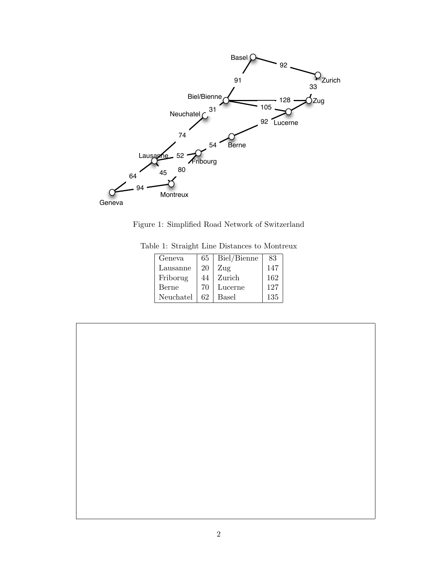

Figure 1: Simplified Road Network of Switzerland

| Geneva    | 65 | Biel/Bienne  | 83  |
|-----------|----|--------------|-----|
| Lausanne  | 20 | Zug          | 147 |
| Friborug  | 44 | Zurich       | 162 |
| Berne     | 70 | Lucerne      | 127 |
| Neuchatel | 62 | <b>Basel</b> | 135 |

Table 1: Straight Line Distances to Montreux

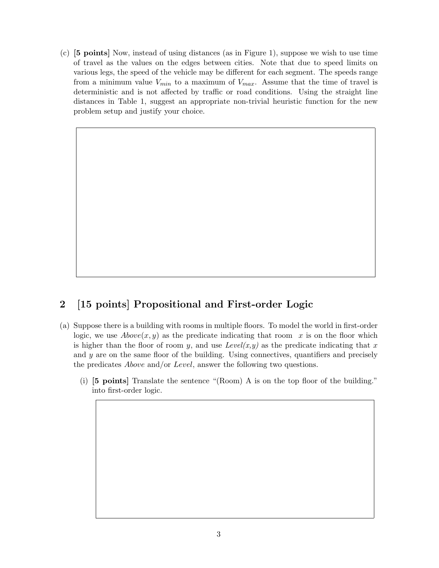(c) [5 points] Now, instead of using distances (as in Figure 1), suppose we wish to use time of travel as the values on the edges between cities. Note that due to speed limits on various legs, the speed of the vehicle may be different for each segment. The speeds range from a minimum value  $V_{min}$  to a maximum of  $V_{max}$ . Assume that the time of travel is deterministic and is not affected by traffic or road conditions. Using the straight line distances in Table 1, suggest an appropriate non-trivial heuristic function for the new problem setup and justify your choice.

# 2 [15 points] Propositional and First-order Logic

- (a) Suppose there is a building with rooms in multiple floors. To model the world in first-order logic, we use  $Above(x, y)$  as the predicate indicating that room x is on the floor which is higher than the floor of room y, and use  $Level(x, y)$  as the predicate indicating that x and y are on the same floor of the building. Using connectives, quantifiers and precisely the predicates *Above* and/or *Level*, answer the following two questions.
	- (i) [5 points] Translate the sentence "(Room) A is on the top floor of the building." into first-order logic.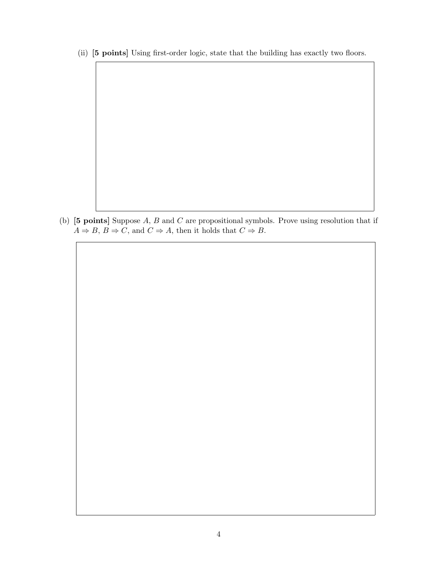(ii) [5 points] Using first-order logic, state that the building has exactly two floors.

(b) [5 points] Suppose A, B and C are propositional symbols. Prove using resolution that if  $A \Rightarrow B, B \Rightarrow C$ , and  $C \Rightarrow A$ , then it holds that  $C \Rightarrow B$ .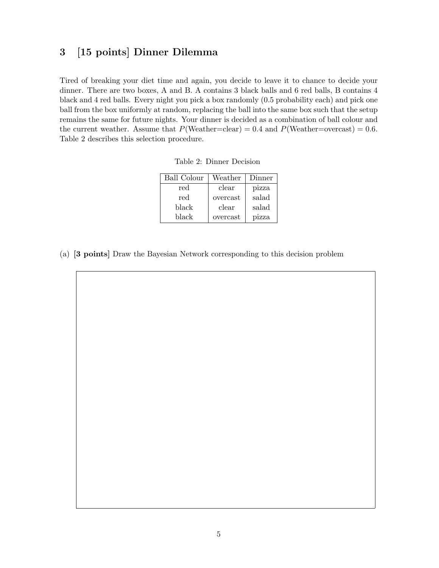### 3 [15 points] Dinner Dilemma

Tired of breaking your diet time and again, you decide to leave it to chance to decide your dinner. There are two boxes, A and B. A contains 3 black balls and 6 red balls, B contains 4 black and 4 red balls. Every night you pick a box randomly (0.5 probability each) and pick one ball from the box uniformly at random, replacing the ball into the same box such that the setup remains the same for future nights. Your dinner is decided as a combination of ball colour and the current weather. Assume that  $P(Weather=clear) = 0.4$  and  $P(Weather=overs) = 0.6$ . Table 2 describes this selection procedure.

| Ball Colour | Weather  | Dinner |
|-------------|----------|--------|
| red         | clear    | pizza  |
| red         | overcast | salad  |
| black       | clear    | salad  |
| black       | overcast | pizza  |

Table 2: Dinner Decision

(a) [3 points] Draw the Bayesian Network corresponding to this decision problem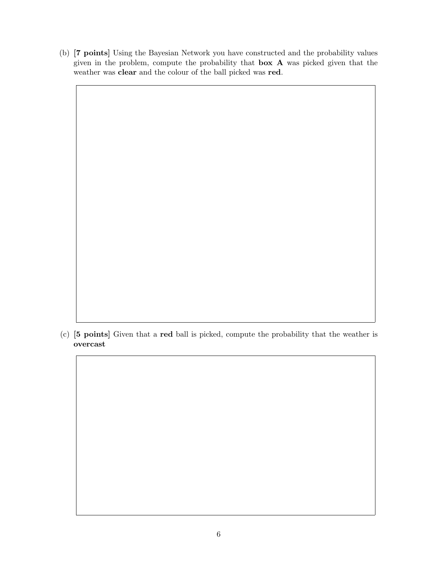(b) [7 points] Using the Bayesian Network you have constructed and the probability values given in the problem, compute the probability that box A was picked given that the weather was clear and the colour of the ball picked was red.

(c) [5 points] Given that a red ball is picked, compute the probability that the weather is overcast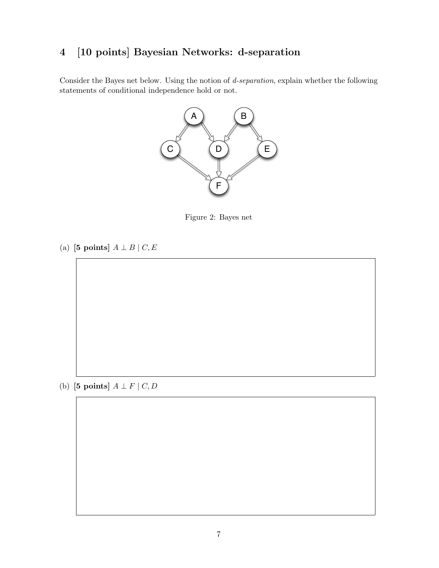# 4 [10 points] Bayesian Networks: d-separation

Consider the Bayes net below. Using the notion of d-separation, explain whether the following statements of conditional independence hold or not.



Figure 2: Bayes net

(a) [5 points]  $A \perp B \mid C, E$ 

(b) [5 points]  $A \perp F \mid C, D$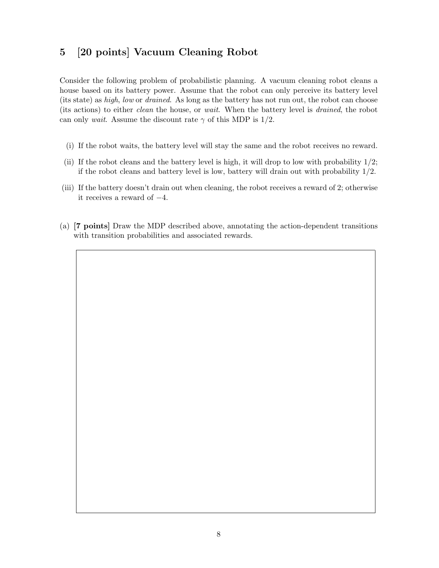## 5 [20 points] Vacuum Cleaning Robot

Consider the following problem of probabilistic planning. A vacuum cleaning robot cleans a house based on its battery power. Assume that the robot can only perceive its battery level (its state) as high, low or drained. As long as the battery has not run out, the robot can choose (its actions) to either clean the house, or wait. When the battery level is drained, the robot can only wait. Assume the discount rate  $\gamma$  of this MDP is 1/2.

- (i) If the robot waits, the battery level will stay the same and the robot receives no reward.
- (ii) If the robot cleans and the battery level is high, it will drop to low with probability  $1/2$ ; if the robot cleans and battery level is low, battery will drain out with probability  $1/2$ .
- (iii) If the battery doesn't drain out when cleaning, the robot receives a reward of 2; otherwise it receives a reward of −4.
- (a) [7 points] Draw the MDP described above, annotating the action-dependent transitions with transition probabilities and associated rewards.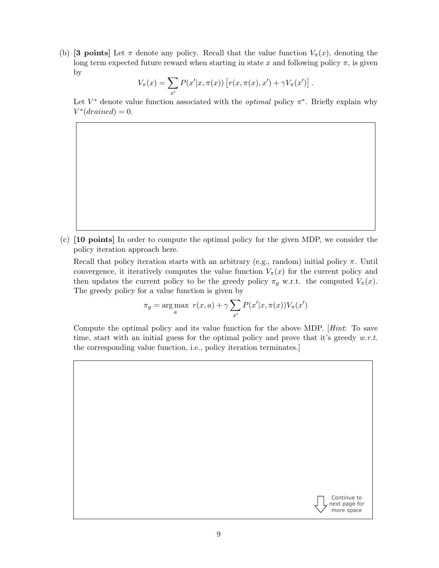(b) [3 points] Let  $\pi$  denote any policy. Recall that the value function  $V_{\pi}(x)$ , denoting the long term expected future reward when starting in state x and following policy  $\pi$ , is given by

$$
V_{\pi}(x) = \sum_{x'} P(x'|x, \pi(x)) [r(x, \pi(x), x') + \gamma V_{\pi}(x')].
$$

Let  $V^*$  denote value function associated with the *optimal* policy  $\pi^*$ . Briefly explain why  $V^*(drained) = 0.$ 

(c) [10 points] In order to compute the optimal policy for the given MDP, we consider the policy iteration approach here.

Recall that policy iteration starts with an arbitrary (e.g., random) initial policy  $\pi$ . Until convergence, it iteratively computes the value function  $V_\pi(x)$  for the current policy and then updates the current policy to be the greedy policy  $\pi_g$  w.r.t. the computed  $V_\pi(x)$ . The greedy policy for a value function is given by

$$
\pi_g = \underset{a}{\arg \max} \ r(x, a) + \gamma \sum_{x'} P(x'|x, \pi(x)) V_{\pi}(x')
$$

Compute the optimal policy and its value function for the above MDP. [Hint: To save time, start with an initial guess for the optimal policy and prove that it's greedy  $w.r.t.$ the corresponding value function, i.e., policy iteration terminates.]

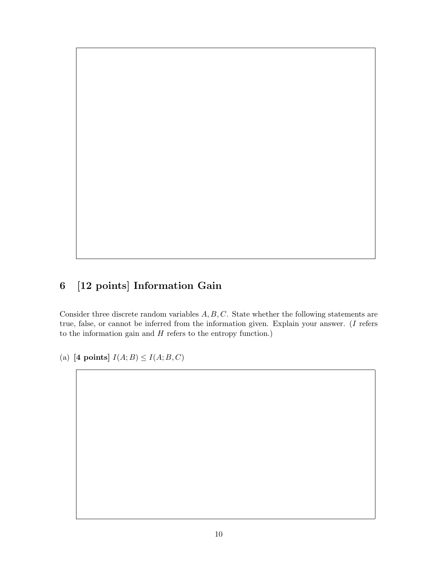# 6 [12 points] Information Gain

Consider three discrete random variables  $A, B, C$ . State whether the following statements are true, false, or cannot be inferred from the information given. Explain your answer. (I refers to the information gain and  $H$  refers to the entropy function.)

(a) [4 points]  $I(A;B) \leq I(A;B,C)$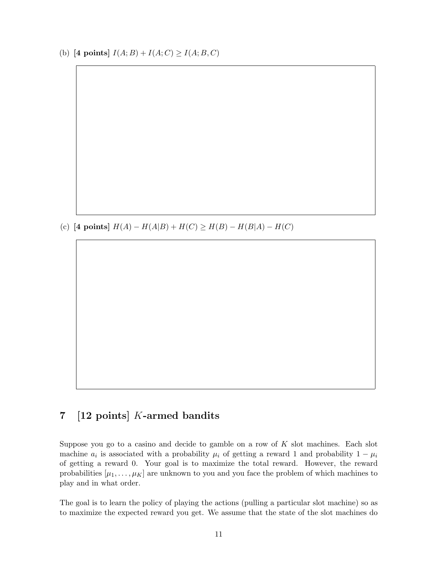(b) [4 points]  $I(A; B) + I(A; C) \ge I(A; B, C)$ 

(c) [4 points]  $H(A) - H(A|B) + H(C) \ge H(B) - H(B|A) - H(C)$ 

#### 7 [12 points] K-armed bandits

Suppose you go to a casino and decide to gamble on a row of  $K$  slot machines. Each slot machine  $a_i$  is associated with a probability  $\mu_i$  of getting a reward 1 and probability  $1 - \mu_i$ of getting a reward 0. Your goal is to maximize the total reward. However, the reward probabilities  $[\mu_1, \ldots, \mu_K]$  are unknown to you and you face the problem of which machines to play and in what order.

The goal is to learn the policy of playing the actions (pulling a particular slot machine) so as to maximize the expected reward you get. We assume that the state of the slot machines do